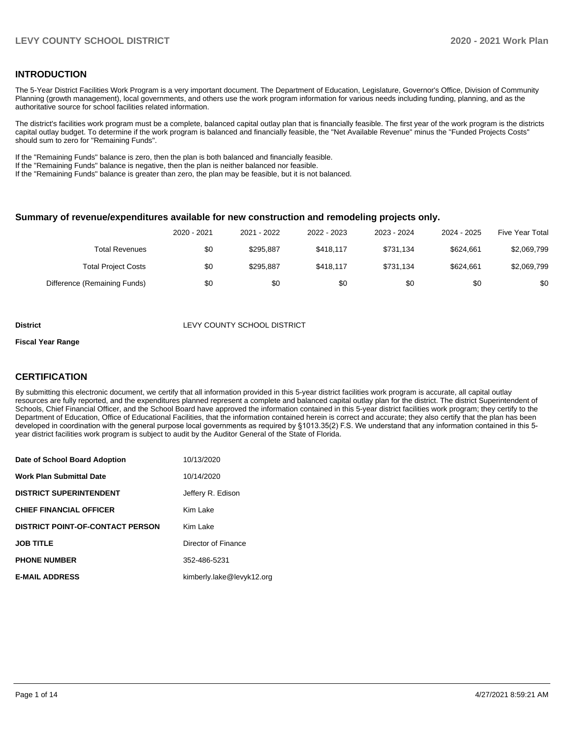# **INTRODUCTION**

The 5-Year District Facilities Work Program is a very important document. The Department of Education, Legislature, Governor's Office, Division of Community Planning (growth management), local governments, and others use the work program information for various needs including funding, planning, and as the authoritative source for school facilities related information.

The district's facilities work program must be a complete, balanced capital outlay plan that is financially feasible. The first year of the work program is the districts capital outlay budget. To determine if the work program is balanced and financially feasible, the "Net Available Revenue" minus the "Funded Projects Costs" should sum to zero for "Remaining Funds".

If the "Remaining Funds" balance is zero, then the plan is both balanced and financially feasible.

If the "Remaining Funds" balance is negative, then the plan is neither balanced nor feasible.

If the "Remaining Funds" balance is greater than zero, the plan may be feasible, but it is not balanced.

#### **Summary of revenue/expenditures available for new construction and remodeling projects only.**

| <b>Five Year Total</b> | 2024 - 2025 | 2023 - 2024 | 2022 - 2023 | 2021 - 2022 | 2020 - 2021 |                              |
|------------------------|-------------|-------------|-------------|-------------|-------------|------------------------------|
| \$2,069,799            | \$624.661   | \$731.134   | \$418.117   | \$295.887   | \$0         | <b>Total Revenues</b>        |
| \$2,069,799            | \$624.661   | \$731.134   | \$418.117   | \$295.887   | \$0         | <b>Total Project Costs</b>   |
| \$0                    | \$0         | \$0         | \$0         | \$0         | \$0         | Difference (Remaining Funds) |

#### **District LEVY COUNTY SCHOOL DISTRICT**

#### **Fiscal Year Range**

# **CERTIFICATION**

By submitting this electronic document, we certify that all information provided in this 5-year district facilities work program is accurate, all capital outlay resources are fully reported, and the expenditures planned represent a complete and balanced capital outlay plan for the district. The district Superintendent of Schools, Chief Financial Officer, and the School Board have approved the information contained in this 5-year district facilities work program; they certify to the Department of Education, Office of Educational Facilities, that the information contained herein is correct and accurate; they also certify that the plan has been developed in coordination with the general purpose local governments as required by §1013.35(2) F.S. We understand that any information contained in this 5 year district facilities work program is subject to audit by the Auditor General of the State of Florida.

| Date of School Board Adoption           | 10/13/2020                |
|-----------------------------------------|---------------------------|
| <b>Work Plan Submittal Date</b>         | 10/14/2020                |
| <b>DISTRICT SUPERINTENDENT</b>          | Jeffery R. Edison         |
| <b>CHIEF FINANCIAL OFFICER</b>          | Kim Lake                  |
| <b>DISTRICT POINT-OF-CONTACT PERSON</b> | Kim Lake                  |
| <b>JOB TITLE</b>                        | Director of Finance       |
| <b>PHONE NUMBER</b>                     | 352-486-5231              |
| <b>E-MAIL ADDRESS</b>                   | kimberly.lake@levyk12.org |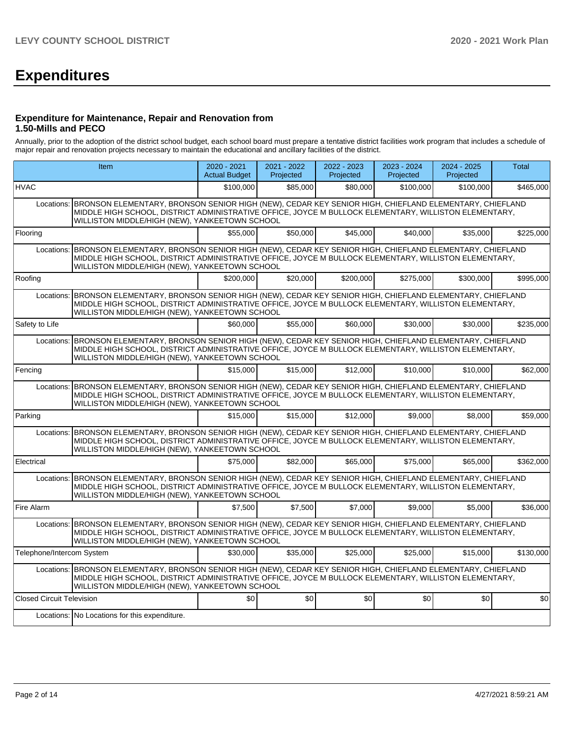# **Expenditures**

## **Expenditure for Maintenance, Repair and Renovation from 1.50-Mills and PECO**

Annually, prior to the adoption of the district school budget, each school board must prepare a tentative district facilities work program that includes a schedule of major repair and renovation projects necessary to maintain the educational and ancillary facilities of the district.

|                                  | Item                                                                                                                                                                                                                                                                        | $2020 - 2021$<br><b>Actual Budget</b> | 2021 - 2022<br>Projected | 2022 - 2023<br>Projected | 2023 - 2024<br>Projected | 2024 - 2025<br>Projected | <b>Total</b> |
|----------------------------------|-----------------------------------------------------------------------------------------------------------------------------------------------------------------------------------------------------------------------------------------------------------------------------|---------------------------------------|--------------------------|--------------------------|--------------------------|--------------------------|--------------|
| <b>HVAC</b>                      |                                                                                                                                                                                                                                                                             | \$100,000                             | \$85,000                 | \$80,000                 | \$100,000                | \$100,000                | \$465,000    |
|                                  | Locations: BRONSON ELEMENTARY, BRONSON SENIOR HIGH (NEW), CEDAR KEY SENIOR HIGH, CHIEFLAND ELEMENTARY, CHIEFLAND<br>MIDDLE HIGH SCHOOL, DISTRICT ADMINISTRATIVE OFFICE, JOYCE M BULLOCK ELEMENTARY, WILLISTON ELEMENTARY,<br>WILLISTON MIDDLE/HIGH (NEW), YANKEETOWN SCHOOL |                                       |                          |                          |                          |                          |              |
| Flooring                         |                                                                                                                                                                                                                                                                             | \$55,000                              | \$50,000                 | \$45,000                 | \$40,000                 | \$35,000                 | \$225,000    |
| Locations:                       | BRONSON ELEMENTARY, BRONSON SENIOR HIGH (NEW), CEDAR KEY SENIOR HIGH, CHIEFLAND ELEMENTARY, CHIEFLAND<br>MIDDLE HIGH SCHOOL, DISTRICT ADMINISTRATIVE OFFICE, JOYCE M BULLOCK ELEMENTARY, WILLISTON ELEMENTARY,<br>WILLISTON MIDDLE/HIGH (NEW), YANKEETOWN SCHOOL            |                                       |                          |                          |                          |                          |              |
| Roofing                          |                                                                                                                                                                                                                                                                             | \$200.000                             | \$20,000                 | \$200.000                | \$275,000                | \$300,000                | \$995,000    |
| Locations:                       | BRONSON ELEMENTARY, BRONSON SENIOR HIGH (NEW), CEDAR KEY SENIOR HIGH, CHIEFLAND ELEMENTARY, CHIEFLAND<br>MIDDLE HIGH SCHOOL, DISTRICT ADMINISTRATIVE OFFICE, JOYCE M BULLOCK ELEMENTARY, WILLISTON ELEMENTARY,<br>WILLISTON MIDDLE/HIGH (NEW), YANKEETOWN SCHOOL            |                                       |                          |                          |                          |                          |              |
| Safety to Life                   |                                                                                                                                                                                                                                                                             | \$60,000                              | \$55,000                 | \$60,000                 | \$30,000                 | \$30,000                 | \$235,000    |
| Locations:                       | BRONSON ELEMENTARY, BRONSON SENIOR HIGH (NEW), CEDAR KEY SENIOR HIGH, CHIEFLAND ELEMENTARY, CHIEFLAND<br>MIDDLE HIGH SCHOOL, DISTRICT ADMINISTRATIVE OFFICE, JOYCE M BULLOCK ELEMENTARY, WILLISTON ELEMENTARY,<br>WILLISTON MIDDLE/HIGH (NEW), YANKEETOWN SCHOOL            |                                       |                          |                          |                          |                          |              |
| Fencing                          |                                                                                                                                                                                                                                                                             | \$15,000                              | \$15,000                 | \$12,000                 | \$10,000                 | \$10,000                 | \$62,000     |
|                                  | Locations: BRONSON ELEMENTARY, BRONSON SENIOR HIGH (NEW), CEDAR KEY SENIOR HIGH, CHIEFLAND ELEMENTARY, CHIEFLAND<br>MIDDLE HIGH SCHOOL, DISTRICT ADMINISTRATIVE OFFICE, JOYCE M BULLOCK ELEMENTARY, WILLISTON ELEMENTARY,<br>WILLISTON MIDDLE/HIGH (NEW), YANKEETOWN SCHOOL |                                       |                          |                          |                          |                          |              |
| Parking                          |                                                                                                                                                                                                                                                                             | \$15,000                              | \$15,000                 | \$12,000                 | \$9,000                  | \$8,000                  | \$59,000     |
| Locations:                       | BRONSON ELEMENTARY, BRONSON SENIOR HIGH (NEW), CEDAR KEY SENIOR HIGH, CHIEFLAND ELEMENTARY, CHIEFLAND<br>MIDDLE HIGH SCHOOL, DISTRICT ADMINISTRATIVE OFFICE, JOYCE M BULLOCK ELEMENTARY, WILLISTON ELEMENTARY,<br>WILLISTON MIDDLE/HIGH (NEW), YANKEETOWN SCHOOL            |                                       |                          |                          |                          |                          |              |
| Electrical                       |                                                                                                                                                                                                                                                                             | \$75,000                              | \$82,000                 | \$65,000                 | \$75,000                 | \$65,000                 | \$362,000    |
| Locations:                       | BRONSON ELEMENTARY, BRONSON SENIOR HIGH (NEW), CEDAR KEY SENIOR HIGH, CHIEFLAND ELEMENTARY, CHIEFLAND<br>MIDDLE HIGH SCHOOL, DISTRICT ADMINISTRATIVE OFFICE, JOYCE M BULLOCK ELEMENTARY, WILLISTON ELEMENTARY,<br>WILLISTON MIDDLE/HIGH (NEW), YANKEETOWN SCHOOL            |                                       |                          |                          |                          |                          |              |
| Fire Alarm                       |                                                                                                                                                                                                                                                                             | \$7.500                               | \$7.500                  | \$7,000                  | \$9,000                  | \$5.000                  | \$36,000     |
|                                  | Locations: BRONSON ELEMENTARY, BRONSON SENIOR HIGH (NEW), CEDAR KEY SENIOR HIGH, CHIEFLAND ELEMENTARY, CHIEFLAND<br>MIDDLE HIGH SCHOOL, DISTRICT ADMINISTRATIVE OFFICE, JOYCE M BULLOCK ELEMENTARY, WILLISTON ELEMENTARY,<br>WILLISTON MIDDLE/HIGH (NEW), YANKEETOWN SCHOOL |                                       |                          |                          |                          |                          |              |
| Telephone/Intercom System        |                                                                                                                                                                                                                                                                             | \$30,000                              | \$35,000                 | \$25,000                 | \$25,000                 | \$15,000                 | \$130,000    |
|                                  | Locations: BRONSON ELEMENTARY, BRONSON SENIOR HIGH (NEW), CEDAR KEY SENIOR HIGH, CHIEFLAND ELEMENTARY, CHIEFLAND<br>MIDDLE HIGH SCHOOL, DISTRICT ADMINISTRATIVE OFFICE, JOYCE M BULLOCK ELEMENTARY, WILLISTON ELEMENTARY,<br>WILLISTON MIDDLE/HIGH (NEW), YANKEETOWN SCHOOL |                                       |                          |                          |                          |                          |              |
| <b>Closed Circuit Television</b> |                                                                                                                                                                                                                                                                             | \$0                                   | \$0                      | \$0                      | \$0 <sub>1</sub>         | \$0                      | \$0          |
|                                  | Locations: No Locations for this expenditure.                                                                                                                                                                                                                               |                                       |                          |                          |                          |                          |              |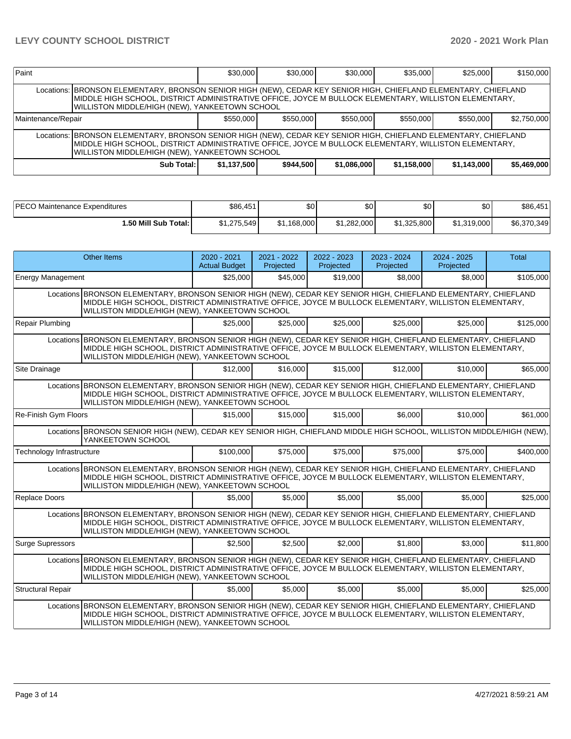| Paint                                                                                                                                                                                                                                                                       |                                                                                                                                                                                                                                                                             | \$30,000  | \$30,000  | \$30,000  | \$35,000  | \$25,000  | \$150,000   |  |  |  |  |
|-----------------------------------------------------------------------------------------------------------------------------------------------------------------------------------------------------------------------------------------------------------------------------|-----------------------------------------------------------------------------------------------------------------------------------------------------------------------------------------------------------------------------------------------------------------------------|-----------|-----------|-----------|-----------|-----------|-------------|--|--|--|--|
|                                                                                                                                                                                                                                                                             | Locations: BRONSON ELEMENTARY, BRONSON SENIOR HIGH (NEW), CEDAR KEY SENIOR HIGH, CHIEFLAND ELEMENTARY, CHIEFLAND<br>MIDDLE HIGH SCHOOL, DISTRICT ADMINISTRATIVE OFFICE, JOYCE M BULLOCK ELEMENTARY, WILLISTON ELEMENTARY,<br>WILLISTON MIDDLE/HIGH (NEW), YANKEETOWN SCHOOL |           |           |           |           |           |             |  |  |  |  |
| Maintenance/Repair                                                                                                                                                                                                                                                          |                                                                                                                                                                                                                                                                             | \$550,000 | \$550,000 | \$550,000 | \$550,000 | \$550,000 | \$2,750,000 |  |  |  |  |
| Locations: BRONSON ELEMENTARY, BRONSON SENIOR HIGH (NEW), CEDAR KEY SENIOR HIGH, CHIEFLAND ELEMENTARY, CHIEFLAND<br>MIDDLE HIGH SCHOOL, DISTRICT ADMINISTRATIVE OFFICE, JOYCE M BULLOCK ELEMENTARY, WILLISTON ELEMENTARY,<br>WILLISTON MIDDLE/HIGH (NEW), YANKEETOWN SCHOOL |                                                                                                                                                                                                                                                                             |           |           |           |           |           |             |  |  |  |  |
| \$944.500<br>\$5,469,000<br>Sub Total:<br>\$1.137.500<br>\$1.086.000<br>\$1,158,000<br>\$1,143,000                                                                                                                                                                          |                                                                                                                                                                                                                                                                             |           |           |           |           |           |             |  |  |  |  |

| <b>PECO Maintenance Expenditures</b> | \$86,451    | ጦ<br>Ψ∪        | ሶሳ<br>ມບ    | ድስ<br>ΦU    | \$0         | \$86,451    |
|--------------------------------------|-------------|----------------|-------------|-------------|-------------|-------------|
| 1.50 Mill Sub Total: I               | \$1.275.549 | ,168,000<br>σ. | \$1.282.000 | \$1.325.800 | \$1.319.000 | \$6,370,349 |

|                                                                                                                                                                                                                                                                            | Other Items                                                                                                                                                                                                                                                                | $2020 - 2021$<br><b>Actual Budget</b> | 2021 - 2022<br>Projected | 2022 - 2023<br>Projected | 2023 - 2024<br>Projected | $2024 - 2025$<br>Projected | <b>Total</b> |  |  |  |
|----------------------------------------------------------------------------------------------------------------------------------------------------------------------------------------------------------------------------------------------------------------------------|----------------------------------------------------------------------------------------------------------------------------------------------------------------------------------------------------------------------------------------------------------------------------|---------------------------------------|--------------------------|--------------------------|--------------------------|----------------------------|--------------|--|--|--|
| <b>Energy Management</b>                                                                                                                                                                                                                                                   |                                                                                                                                                                                                                                                                            | \$25,000                              | \$45,000                 | \$19,000                 | \$8,000                  | \$8,000                    | \$105,000    |  |  |  |
|                                                                                                                                                                                                                                                                            | Locations BRONSON ELEMENTARY, BRONSON SENIOR HIGH (NEW), CEDAR KEY SENIOR HIGH, CHIEFLAND ELEMENTARY, CHIEFLAND<br>MIDDLE HIGH SCHOOL, DISTRICT ADMINISTRATIVE OFFICE, JOYCE M BULLOCK ELEMENTARY, WILLISTON ELEMENTARY,<br>WILLISTON MIDDLE/HIGH (NEW), YANKEETOWN SCHOOL |                                       |                          |                          |                          |                            |              |  |  |  |
| Repair Plumbing                                                                                                                                                                                                                                                            |                                                                                                                                                                                                                                                                            | \$25,000                              | \$25,000                 | \$25,000                 | \$25,000                 | \$25,000                   | \$125,000    |  |  |  |
|                                                                                                                                                                                                                                                                            | Locations BRONSON ELEMENTARY, BRONSON SENIOR HIGH (NEW), CEDAR KEY SENIOR HIGH, CHIEFLAND ELEMENTARY, CHIEFLAND<br>MIDDLE HIGH SCHOOL, DISTRICT ADMINISTRATIVE OFFICE, JOYCE M BULLOCK ELEMENTARY, WILLISTON ELEMENTARY,<br>WILLISTON MIDDLE/HIGH (NEW), YANKEETOWN SCHOOL |                                       |                          |                          |                          |                            |              |  |  |  |
| Site Drainage                                                                                                                                                                                                                                                              |                                                                                                                                                                                                                                                                            | \$12,000                              | \$16,000                 | \$15,000                 | \$12,000                 | \$10,000                   | \$65,000     |  |  |  |
|                                                                                                                                                                                                                                                                            | Locations BRONSON ELEMENTARY, BRONSON SENIOR HIGH (NEW), CEDAR KEY SENIOR HIGH, CHIEFLAND ELEMENTARY, CHIEFLAND<br>MIDDLE HIGH SCHOOL, DISTRICT ADMINISTRATIVE OFFICE, JOYCE M BULLOCK ELEMENTARY, WILLISTON ELEMENTARY,<br>WILLISTON MIDDLE/HIGH (NEW), YANKEETOWN SCHOOL |                                       |                          |                          |                          |                            |              |  |  |  |
| Re-Finish Gym Floors                                                                                                                                                                                                                                                       |                                                                                                                                                                                                                                                                            | \$15,000                              | \$15,000                 | \$15,000                 | \$6,000                  | \$10,000                   | \$61,000     |  |  |  |
|                                                                                                                                                                                                                                                                            | Locations BRONSON SENIOR HIGH (NEW), CEDAR KEY SENIOR HIGH, CHIEFLAND MIDDLE HIGH SCHOOL, WILLISTON MIDDLE/HIGH (NEW),<br>YANKEETOWN SCHOOL                                                                                                                                |                                       |                          |                          |                          |                            |              |  |  |  |
| Technology Infrastructure                                                                                                                                                                                                                                                  |                                                                                                                                                                                                                                                                            | \$100,000                             | \$75,000                 | \$75,000                 | \$75,000                 | \$75,000                   | \$400.000    |  |  |  |
|                                                                                                                                                                                                                                                                            | Locations BRONSON ELEMENTARY, BRONSON SENIOR HIGH (NEW), CEDAR KEY SENIOR HIGH, CHIEFLAND ELEMENTARY, CHIEFLAND<br>MIDDLE HIGH SCHOOL, DISTRICT ADMINISTRATIVE OFFICE, JOYCE M BULLOCK ELEMENTARY, WILLISTON ELEMENTARY,<br>WILLISTON MIDDLE/HIGH (NEW), YANKEETOWN SCHOOL |                                       |                          |                          |                          |                            |              |  |  |  |
| Replace Doors                                                                                                                                                                                                                                                              |                                                                                                                                                                                                                                                                            | \$5,000                               | \$5,000                  | \$5,000                  | \$5,000                  | \$5,000                    | \$25,000     |  |  |  |
|                                                                                                                                                                                                                                                                            | Locations BRONSON ELEMENTARY, BRONSON SENIOR HIGH (NEW), CEDAR KEY SENIOR HIGH, CHIEFLAND ELEMENTARY, CHIEFLAND<br>MIDDLE HIGH SCHOOL, DISTRICT ADMINISTRATIVE OFFICE, JOYCE M BULLOCK ELEMENTARY, WILLISTON ELEMENTARY,<br>WILLISTON MIDDLE/HIGH (NEW), YANKEETOWN SCHOOL |                                       |                          |                          |                          |                            |              |  |  |  |
| <b>Surge Supressors</b>                                                                                                                                                                                                                                                    |                                                                                                                                                                                                                                                                            | \$2.500                               | \$2,500                  | \$2,000                  | \$1,800                  | \$3,000                    | \$11,800     |  |  |  |
| Locations BRONSON ELEMENTARY, BRONSON SENIOR HIGH (NEW), CEDAR KEY SENIOR HIGH, CHIEFLAND ELEMENTARY, CHIEFLAND<br>MIDDLE HIGH SCHOOL, DISTRICT ADMINISTRATIVE OFFICE, JOYCE M BULLOCK ELEMENTARY, WILLISTON ELEMENTARY,<br>WILLISTON MIDDLE/HIGH (NEW), YANKEETOWN SCHOOL |                                                                                                                                                                                                                                                                            |                                       |                          |                          |                          |                            |              |  |  |  |
| <b>Structural Repair</b>                                                                                                                                                                                                                                                   |                                                                                                                                                                                                                                                                            | \$5,000                               | \$5,000                  | \$5,000                  | \$5,000                  | \$5,000                    | \$25,000     |  |  |  |
|                                                                                                                                                                                                                                                                            | Locations BRONSON ELEMENTARY, BRONSON SENIOR HIGH (NEW), CEDAR KEY SENIOR HIGH, CHIEFLAND ELEMENTARY, CHIEFLAND<br>MIDDLE HIGH SCHOOL, DISTRICT ADMINISTRATIVE OFFICE, JOYCE M BULLOCK ELEMENTARY, WILLISTON ELEMENTARY,<br>WILLISTON MIDDLE/HIGH (NEW), YANKEETOWN SCHOOL |                                       |                          |                          |                          |                            |              |  |  |  |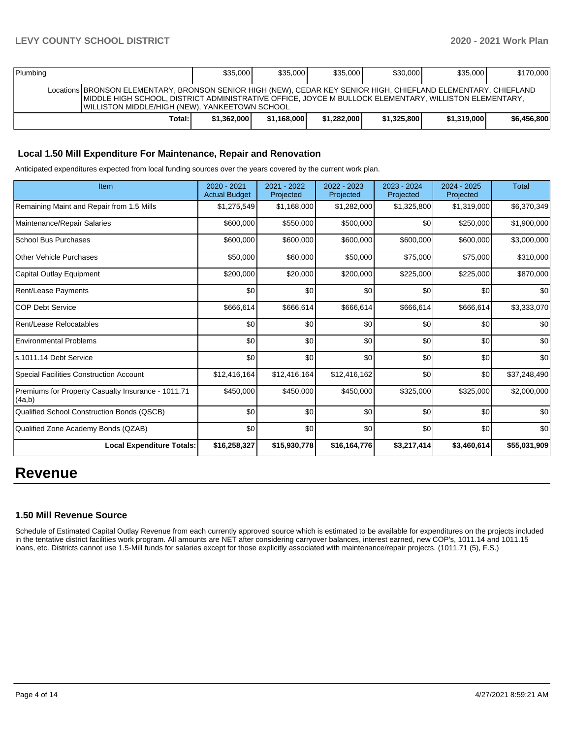| Plumbing                                                                                                                                                                                                                                                                           | \$35,000    | \$35,000    | \$35,000    | \$30,000    | \$35,000    | \$170,000   |  |  |  |
|------------------------------------------------------------------------------------------------------------------------------------------------------------------------------------------------------------------------------------------------------------------------------------|-------------|-------------|-------------|-------------|-------------|-------------|--|--|--|
| Locations BRONSON ELEMENTARY, BRONSON SENIOR HIGH (NEW), CEDAR KEY SENIOR HIGH, CHIEFLAND ELEMENTARY, CHIEFLAND<br>IMIDDLE HIGH SCHOOL. DISTRICT ADMINISTRATIVE OFFICE. JOYCE M BULLOCK ELEMENTARY. WILLISTON ELEMENTARY.<br><b>WILLISTON MIDDLE/HIGH (NEW), YANKEETOWN SCHOOL</b> |             |             |             |             |             |             |  |  |  |
| Total:                                                                                                                                                                                                                                                                             | \$1,362,000 | \$1.168,000 | \$1.282.000 | \$1,325,800 | \$1,319,000 | \$6,456,800 |  |  |  |

# **Local 1.50 Mill Expenditure For Maintenance, Repair and Renovation**

Anticipated expenditures expected from local funding sources over the years covered by the current work plan.

| Item                                                         | $2020 - 2021$<br><b>Actual Budget</b> | 2021 - 2022<br>Projected | 2022 - 2023<br>Projected | $2023 - 2024$<br>Projected | 2024 - 2025<br>Projected | <b>Total</b> |
|--------------------------------------------------------------|---------------------------------------|--------------------------|--------------------------|----------------------------|--------------------------|--------------|
| Remaining Maint and Repair from 1.5 Mills                    | \$1,275,549                           | \$1,168,000              | \$1,282,000              | \$1,325,800                | \$1,319,000              | \$6,370,349  |
| Maintenance/Repair Salaries                                  | \$600,000                             | \$550,000                | \$500,000                | \$0                        | \$250,000                | \$1,900,000  |
| <b>School Bus Purchases</b>                                  | \$600,000                             | \$600,000                | \$600,000                | \$600,000                  | \$600,000                | \$3,000,000  |
| <b>Other Vehicle Purchases</b>                               | \$50,000                              | \$60,000                 | \$50,000                 | \$75,000                   | \$75,000                 | \$310,000    |
| Capital Outlay Equipment                                     | \$200,000                             | \$20,000                 | \$200,000                | \$225,000                  | \$225,000                | \$870,000    |
| <b>Rent/Lease Payments</b>                                   | \$0                                   | \$0                      | \$0                      | \$0                        | \$0                      | \$0          |
| <b>COP Debt Service</b>                                      | \$666,614                             | \$666,614                | \$666,614                | \$666,614                  | \$666,614                | \$3,333,070  |
| Rent/Lease Relocatables                                      | \$0                                   | \$0                      | \$0                      | \$0                        | \$0                      | \$0          |
| <b>Environmental Problems</b>                                | \$0                                   | \$0                      | \$0                      | \$0                        | \$0                      | \$0          |
| s.1011.14 Debt Service                                       | \$0                                   | \$0                      | \$0                      | \$0                        | \$0                      | \$0          |
| <b>Special Facilities Construction Account</b>               | \$12,416,164                          | \$12,416,164             | \$12,416,162             | \$0                        | \$0                      | \$37,248,490 |
| Premiums for Property Casualty Insurance - 1011.71<br>(4a,b) | \$450,000                             | \$450,000                | \$450,000                | \$325,000                  | \$325,000                | \$2,000,000  |
| Qualified School Construction Bonds (QSCB)                   | \$0                                   | \$0                      | \$0                      | \$0                        | \$0                      | \$0          |
| Qualified Zone Academy Bonds (QZAB)                          | \$0                                   | \$0                      | \$0                      | \$0                        | \$0                      | \$0          |
| <b>Local Expenditure Totals:</b>                             | \$16,258,327                          | \$15,930,778             | \$16,164,776             | \$3,217,414                | \$3,460,614              | \$55,031,909 |

# **Revenue**

## **1.50 Mill Revenue Source**

Schedule of Estimated Capital Outlay Revenue from each currently approved source which is estimated to be available for expenditures on the projects included in the tentative district facilities work program. All amounts are NET after considering carryover balances, interest earned, new COP's, 1011.14 and 1011.15 loans, etc. Districts cannot use 1.5-Mill funds for salaries except for those explicitly associated with maintenance/repair projects. (1011.71 (5), F.S.)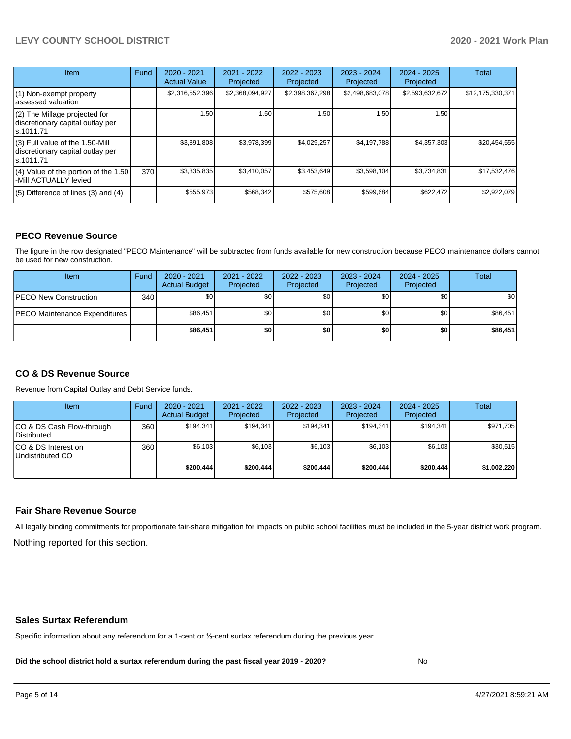# **LEVY COUNTY SCHOOL DISTRICT 2020 - 2021 Work Plan**

| <b>Item</b>                                                                         | Fund | $2020 - 2021$<br><b>Actual Value</b> | $2021 - 2022$<br>Projected | 2022 - 2023<br>Projected | $2023 - 2024$<br>Projected | $2024 - 2025$<br>Projected | Total            |
|-------------------------------------------------------------------------------------|------|--------------------------------------|----------------------------|--------------------------|----------------------------|----------------------------|------------------|
| $(1)$ Non-exempt property<br>lassessed valuation                                    |      | \$2,316,552,396                      | \$2,368,094,927            | \$2,398,367,298          | \$2,498,683,078            | \$2,593,632,672            | \$12,175,330,371 |
| $(2)$ The Millage projected for<br>discretionary capital outlay per<br>ls.1011.71   |      | 1.50                                 | 1.50                       | 1.50                     | 1.50                       | 1.50                       |                  |
| $(3)$ Full value of the 1.50-Mill<br>discretionary capital outlay per<br>ls.1011.71 |      | \$3,891,808                          | \$3,978,399                | \$4,029,257              | \$4.197.788                | \$4,357,303                | \$20,454,555     |
| $(4)$ Value of the portion of the 1.50<br>-Mill ACTUALLY levied                     | 370  | \$3,335,835                          | \$3,410,057                | \$3,453,649              | \$3,598,104                | \$3,734,831                | \$17,532,476     |
| $(5)$ Difference of lines (3) and (4)                                               |      | \$555,973                            | \$568,342                  | \$575,608                | \$599,684                  | \$622,472                  | \$2,922,079      |

# **PECO Revenue Source**

The figure in the row designated "PECO Maintenance" will be subtracted from funds available for new construction because PECO maintenance dollars cannot be used for new construction.

| Item                                 | Fund             | 2020 - 2021<br><b>Actual Budget</b> | 2021 - 2022<br>Projected | 2022 - 2023<br>Projected | $2023 - 2024$<br>Projected | 2024 - 2025<br>Projected | Total    |
|--------------------------------------|------------------|-------------------------------------|--------------------------|--------------------------|----------------------------|--------------------------|----------|
| <b>IPECO New Construction</b>        | 340 <sup>1</sup> | \$0                                 | \$0                      | \$0                      | \$0                        | \$0                      | \$0      |
| <b>PECO Maintenance Expenditures</b> |                  | \$86,451                            | \$0                      | \$0                      | \$0 <sub>1</sub>           | \$0 <sub>1</sub>         | \$86,451 |
|                                      |                  | \$86,451                            | \$0                      | \$0                      | \$0                        | \$0                      | \$86,451 |

# **CO & DS Revenue Source**

Revenue from Capital Outlay and Debt Service funds.

| <b>Item</b>                               | Fund | $2020 - 2021$<br><b>Actual Budget</b> | 2021 - 2022<br>Projected | 2022 - 2023<br>Projected | $2023 - 2024$<br>Projected | $2024 - 2025$<br>Projected | Total       |
|-------------------------------------------|------|---------------------------------------|--------------------------|--------------------------|----------------------------|----------------------------|-------------|
| ICO & DS Cash Flow-through<br>Distributed | 360  | \$194.341                             | \$194.341                | \$194.341                | \$194.341                  | \$194.341                  | \$971,705   |
| ICO & DS Interest on<br>Undistributed CO  | 360  | \$6.103                               | \$6.103                  | \$6,103                  | \$6.103                    | \$6,103                    | \$30,515    |
|                                           |      | \$200.444                             | \$200.444                | \$200.444                | \$200.444                  | \$200.444                  | \$1,002,220 |

## **Fair Share Revenue Source**

Nothing reported for this section. All legally binding commitments for proportionate fair-share mitigation for impacts on public school facilities must be included in the 5-year district work program.

#### **Sales Surtax Referendum**

Specific information about any referendum for a 1-cent or ½-cent surtax referendum during the previous year.

**Did the school district hold a surtax referendum during the past fiscal year 2019 - 2020?**

No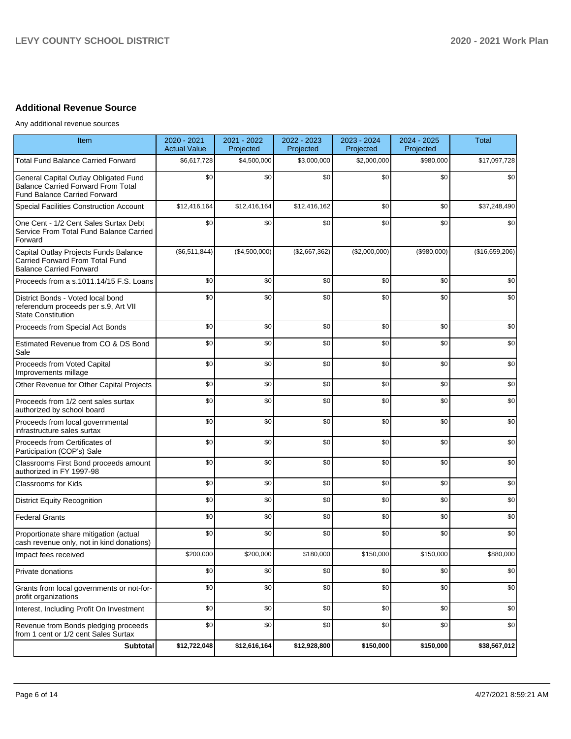# **Additional Revenue Source**

Any additional revenue sources

| Item                                                                                                                      | 2020 - 2021<br><b>Actual Value</b> | 2021 - 2022<br>Projected | 2022 - 2023<br>Projected | 2023 - 2024<br>Projected | 2024 - 2025<br>Projected | <b>Total</b>   |
|---------------------------------------------------------------------------------------------------------------------------|------------------------------------|--------------------------|--------------------------|--------------------------|--------------------------|----------------|
| <b>Total Fund Balance Carried Forward</b>                                                                                 | \$6,617,728                        | \$4,500,000              | \$3,000,000              | \$2,000,000              | \$980,000                | \$17,097,728   |
| General Capital Outlay Obligated Fund<br><b>Balance Carried Forward From Total</b><br><b>Fund Balance Carried Forward</b> | \$0                                | \$0                      | \$0                      | \$0                      | \$0                      | \$0            |
| <b>Special Facilities Construction Account</b>                                                                            | \$12,416,164                       | \$12,416,164             | \$12,416,162             | \$0                      | \$0                      | \$37,248,490   |
| One Cent - 1/2 Cent Sales Surtax Debt<br>Service From Total Fund Balance Carried<br>Forward                               | \$0                                | \$0                      | \$0                      | \$0                      | \$0                      | \$0            |
| Capital Outlay Projects Funds Balance<br>Carried Forward From Total Fund<br><b>Balance Carried Forward</b>                | (\$6,511,844)                      | (\$4,500,000)            | (\$2,667,362)            | (\$2,000,000)            | (\$980,000)              | (\$16,659,206) |
| Proceeds from a s.1011.14/15 F.S. Loans                                                                                   | \$0                                | \$0                      | \$0                      | \$0                      | \$0                      | \$0            |
| District Bonds - Voted local bond<br>referendum proceeds per s.9, Art VII<br><b>State Constitution</b>                    | \$0                                | \$0                      | \$0                      | \$0                      | \$0                      | \$0            |
| Proceeds from Special Act Bonds                                                                                           | \$0                                | \$0                      | \$0                      | \$0                      | \$0                      | \$0            |
| Estimated Revenue from CO & DS Bond<br>Sale                                                                               | \$0                                | \$0                      | \$0                      | \$0                      | \$0                      | \$0            |
| Proceeds from Voted Capital<br>Improvements millage                                                                       | \$0                                | \$0                      | \$0                      | \$0                      | \$0                      | \$0            |
| Other Revenue for Other Capital Projects                                                                                  | \$0                                | \$0                      | \$0                      | \$0                      | \$0                      | \$0            |
| Proceeds from 1/2 cent sales surtax<br>authorized by school board                                                         | \$0                                | \$0                      | \$0                      | \$0                      | \$0                      | \$0            |
| Proceeds from local governmental<br>infrastructure sales surtax                                                           | \$0                                | \$0                      | \$0                      | \$0                      | \$0                      | \$0            |
| Proceeds from Certificates of<br>Participation (COP's) Sale                                                               | \$0                                | \$0                      | \$0                      | \$0                      | \$0                      | \$0            |
| Classrooms First Bond proceeds amount<br>authorized in FY 1997-98                                                         | \$0                                | \$0                      | \$0                      | \$0                      | \$0                      | \$0            |
| <b>Classrooms for Kids</b>                                                                                                | \$0                                | \$0                      | \$0                      | \$0                      | \$0                      | \$0            |
| <b>District Equity Recognition</b>                                                                                        | \$0                                | \$0                      | \$0                      | \$0                      | \$0                      | \$0            |
| <b>Federal Grants</b>                                                                                                     | \$0                                | \$0                      | \$0                      | \$0                      | \$0                      | \$0            |
| Proportionate share mitigation (actual<br>cash revenue only, not in kind donations)                                       | \$0                                | \$0                      | \$0                      | \$0                      | \$0                      | \$0            |
| Impact fees received                                                                                                      | \$200,000                          | \$200,000                | \$180,000                | \$150,000                | \$150,000                | \$880,000      |
| Private donations                                                                                                         | \$0                                | \$0                      | \$0                      | \$0                      | \$0                      | \$0            |
| Grants from local governments or not-for-<br>profit organizations                                                         | \$0                                | \$0                      | \$0                      | \$0                      | \$0                      | \$0            |
| Interest, Including Profit On Investment                                                                                  | \$0                                | \$0                      | \$0                      | \$0                      | \$0                      | \$0            |
| Revenue from Bonds pledging proceeds<br>from 1 cent or 1/2 cent Sales Surtax                                              | \$0                                | \$0                      | \$0                      | \$0                      | \$0                      | \$0            |
| <b>Subtotal</b>                                                                                                           | \$12,722,048                       | \$12,616,164             | \$12,928,800             | \$150,000                | \$150,000                | \$38,567,012   |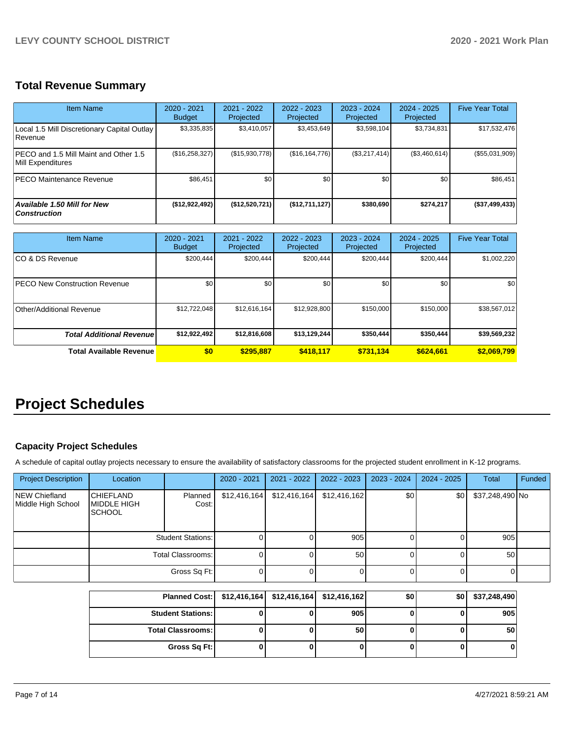# **Total Revenue Summary**

| <b>Item Name</b>                                           | $2020 - 2021$<br><b>Budget</b> | 2021 - 2022<br>Projected | 2022 - 2023<br>Projected | $2023 - 2024$<br>Projected | $2024 - 2025$<br>Projected | <b>Five Year Total</b> |
|------------------------------------------------------------|--------------------------------|--------------------------|--------------------------|----------------------------|----------------------------|------------------------|
| Local 1.5 Mill Discretionary Capital Outlay<br>Revenue     | \$3,335,835                    | \$3,410,057              | \$3,453,649              | \$3,598,104                | \$3,734,831                | \$17,532,476           |
| PECO and 1.5 Mill Maint and Other 1.5<br>Mill Expenditures | (\$16,258,327)                 | (\$15,930,778)           | (\$16, 164, 776)         | (\$3,217,414)              | (\$3,460,614)              | (\$55,031,909)         |
| <b>PECO Maintenance Revenue</b>                            | \$86.451                       | \$0                      | \$0                      | \$0                        | \$0                        | \$86,451               |
| <b>Available 1.50 Mill for New</b><br><b>Construction</b>  | (\$12,922,492)                 | (\$12,520,721)           | (\$12,711,127)           | \$380,690                  | \$274.217                  | (\$37,499,433)         |

| <b>Item Name</b>                      | 2020 - 2021<br><b>Budget</b> | 2021 - 2022<br>Projected | 2022 - 2023<br>Projected | $2023 - 2024$<br>Projected | $2024 - 2025$<br>Projected | <b>Five Year Total</b> |
|---------------------------------------|------------------------------|--------------------------|--------------------------|----------------------------|----------------------------|------------------------|
| ICO & DS Revenue                      | \$200,444                    | \$200,444                | \$200.444                | \$200,444                  | \$200,444                  | \$1,002,220            |
| <b>IPECO New Construction Revenue</b> | \$0                          | \$0                      | \$0                      | \$0                        | \$0                        | \$0                    |
| Other/Additional Revenue              | \$12,722,048                 | \$12,616,164             | \$12,928,800             | \$150,000                  | \$150,000                  | \$38,567,012           |
| <b>Total Additional Revenue</b>       | \$12,922,492                 | \$12,816,608             | \$13,129,244             | \$350,444                  | \$350.444                  | \$39,569,232           |
| Total Available Revenue               | \$0                          | \$295,887                | \$418.117                | \$731,134                  | \$624,661                  | \$2,069,799            |

# **Project Schedules**

# **Capacity Project Schedules**

A schedule of capital outlay projects necessary to ensure the availability of satisfactory classrooms for the projected student enrollment in K-12 programs.

| <b>Project Description</b>          | Location                                                |                          | 2020 - 2021  | 2021 - 2022  | $2022 - 2023$   | $2023 - 2024$ | $2024 - 2025$ | <b>Total</b>    | Funded |
|-------------------------------------|---------------------------------------------------------|--------------------------|--------------|--------------|-----------------|---------------|---------------|-----------------|--------|
| NEW Chiefland<br>Middle High School | <b>CHIEFLAND</b><br><b>MIDDLE HIGH</b><br><b>SCHOOL</b> | Planned<br>Cost:         | \$12,416,164 | \$12,416,164 | \$12,416,162    | \$0           | \$0           | \$37,248,490 No |        |
|                                     |                                                         | <b>Student Stations:</b> |              |              | 905             |               |               | 905             |        |
|                                     | Total Classrooms:                                       |                          |              |              | 50 <sub>1</sub> |               |               | 50              |        |
|                                     |                                                         | Gross Sq Ft:             |              |              |                 |               |               |                 |        |

| Planned Cost:   \$12,416,164   \$12,416,164   \$12,416,162 |  |     | \$0 | \$0 | \$37,248,490 |
|------------------------------------------------------------|--|-----|-----|-----|--------------|
| <b>Student Stations: I</b>                                 |  | 905 |     |     | 905          |
| <b>Total Classrooms:</b>                                   |  | 50  |     |     | 50           |
| Gross Sq Ft:                                               |  |     |     |     |              |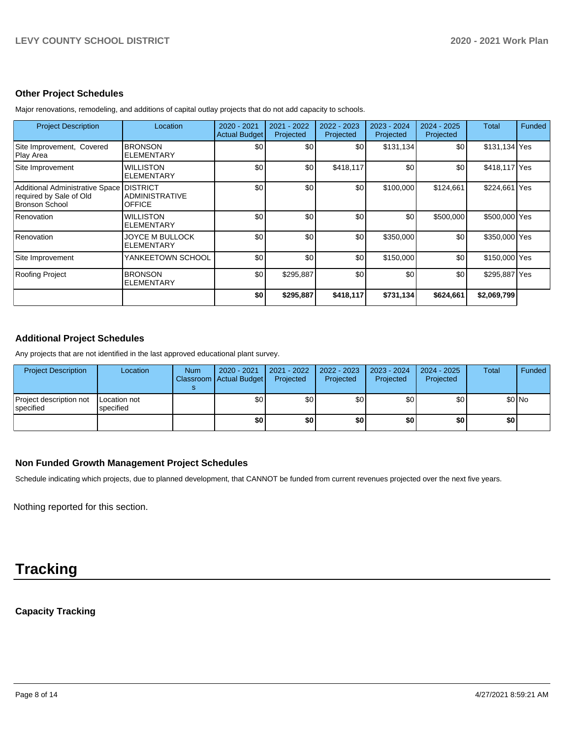## **Other Project Schedules**

Project Description **Location** 2020 - 2021 Actual Budget 2021 - 2022 Projected 2022 - 2023 Projected 2023 - 2024 Projected 2024 - 2025 Projected Total Funded Site Improvement, Covered Play Area BRONSON ELEMENTARY \$0 \$0 \$0 \$131,134 \$0 \$131,134 Yes Site Improvement WILLISTON ELEMENTARY \$0 \$0 \$0 \$418,117 \$0 \$0 \$418,117 Yes Additional Administrative Space required by Sale of Old Bronson School DISTRICT ADMINISTRATIVE OFFICE \$0 \$0 \$0 \$100,000 \$124,661 \$224,661 Yes Renovation WILLISTON ELEMENTARY \$0 \$0 \$0 \$0 \$0 \$500,000 \$500,000 \$0 Renovation JOYCE M BULLOCK ELEMENTARY \$0 \$0 \$0 \$350,000 \$0 \$350,000 Yes Site Improvement YANKEETOWN SCHOOL \$0 \$0 \$0 \$0 \$150,000 \$0 \$150,000 \$0 \$150,000 Yes Roofing Project BRONSON ELEMENTARY \$0 \$295,887 \$0 \$0 \$0 \$295,887 Yes **\$0 \$295,887 \$418,117 \$731,134 \$624,661 \$2,069,799**

Major renovations, remodeling, and additions of capital outlay projects that do not add capacity to schools.

# **Additional Project Schedules**

Any projects that are not identified in the last approved educational plant survey.

| <b>Project Description</b>           | Location                  | <b>Num</b> | 2020 - 2021<br>Classroom Actual Budget | $2021 - 2022$<br>Projected | 2022 - 2023<br>Projected | 2023 - 2024<br>Projected | $2024 - 2025$<br>Projected | Total | Funded |
|--------------------------------------|---------------------------|------------|----------------------------------------|----------------------------|--------------------------|--------------------------|----------------------------|-------|--------|
| Project description not<br>specified | Location not<br>specified |            | \$0                                    | \$0                        | \$0                      | \$0                      | \$0                        |       | \$0 No |
|                                      |                           |            | \$0                                    | \$0                        | \$0                      | \$0                      | \$0                        | \$0   |        |

## **Non Funded Growth Management Project Schedules**

Schedule indicating which projects, due to planned development, that CANNOT be funded from current revenues projected over the next five years.

Nothing reported for this section.

# **Tracking**

# **Capacity Tracking**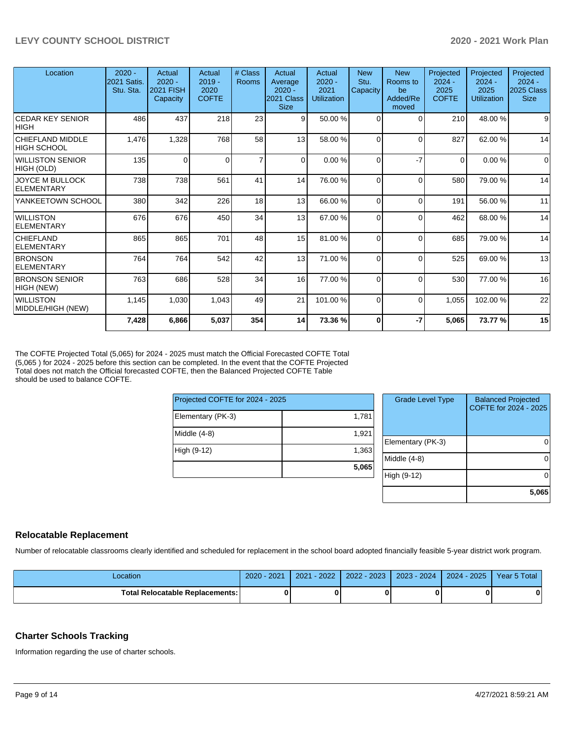| Location                              | $2020 -$<br>2021 Satis.<br>Stu. Sta. | Actual<br>$2020 -$<br><b>2021 FISH</b><br>Capacity | Actual<br>$2019 -$<br>2020<br><b>COFTE</b> | # Class<br>Rooms | Actual<br>Average<br>$2020 -$<br>2021 Class<br><b>Size</b> | Actual<br>$2020 -$<br>2021<br><b>Utilization</b> | <b>New</b><br>Stu.<br>Capacity | <b>New</b><br>Rooms to<br>be<br>Added/Re<br>moved | Projected<br>$2024 -$<br>2025<br><b>COFTE</b> | Projected<br>$2024 -$<br>2025<br>Utilization | Projected<br>$2024 -$<br>2025 Class<br><b>Size</b> |
|---------------------------------------|--------------------------------------|----------------------------------------------------|--------------------------------------------|------------------|------------------------------------------------------------|--------------------------------------------------|--------------------------------|---------------------------------------------------|-----------------------------------------------|----------------------------------------------|----------------------------------------------------|
| <b>CEDAR KEY SENIOR</b><br> HIGH      | 486                                  | 437                                                | 218                                        | 23               | 9                                                          | 50.00 %                                          | $\Omega$                       | $\Omega$                                          | 210                                           | 48.00 %                                      | 9                                                  |
| CHIEFLAND MIDDLE<br>HIGH SCHOOL       | 1,476                                | 1,328                                              | 768                                        | 58               | 13                                                         | 58.00 %                                          | $\Omega$                       | $\Omega$                                          | 827                                           | 62.00%                                       | 14                                                 |
| <b>WILLISTON SENIOR</b><br>HIGH (OLD) | 135                                  | $\Omega$                                           | 0                                          | $\overline{7}$   | $\Omega$                                                   | 0.00%                                            | 0                              | $-7$                                              | $\Omega$                                      | 0.00%                                        | $\Omega$                                           |
| <b>JOYCE M BULLOCK</b><br>ELEMENTARY  | 738                                  | 738                                                | 561                                        | 41               | 14                                                         | 76.00 %                                          | $\Omega$                       | $\Omega$                                          | 580                                           | 79.00 %                                      | 14                                                 |
| YANKEETOWN SCHOOL                     | 380                                  | 342                                                | 226                                        | 18               | 13                                                         | 66.00 %                                          | $\Omega$                       | $\Omega$                                          | 191                                           | 56.00 %                                      | 11                                                 |
| <i><b>WILLISTON</b></i><br>ELEMENTARY | 676                                  | 676                                                | 450                                        | 34               | 13                                                         | 67.00 %                                          | $\Omega$                       | $\Omega$                                          | 462                                           | 68.00 %                                      | 14                                                 |
| <b>CHIEFLAND</b><br>ELEMENTARY        | 865                                  | 865                                                | 701                                        | 48               | 15                                                         | 81.00 %                                          | $\Omega$                       | $\Omega$                                          | 685                                           | 79.00 %                                      | 14                                                 |
| <b>BRONSON</b><br><b>ELEMENTARY</b>   | 764                                  | 764                                                | 542                                        | 42               | 13                                                         | 71.00 %                                          | $\Omega$                       | $\Omega$                                          | 525                                           | 69.00 %                                      | 13                                                 |
| <b>BRONSON SENIOR</b><br>HIGH (NEW)   | 763                                  | 686                                                | 528                                        | 34               | 16                                                         | 77.00 %                                          | $\Omega$                       | $\Omega$                                          | 530                                           | 77.00 %                                      | 16                                                 |
| <b>WILLISTON</b><br>MIDDLE/HIGH (NEW) | 1,145                                | 1,030                                              | 1,043                                      | 49               | 21                                                         | 101.00%                                          | $\Omega$                       | $\Omega$                                          | 1,055                                         | 102.00%                                      | 22                                                 |
|                                       | 7,428                                | 6,866                                              | 5,037                                      | 354              | 14                                                         | 73.36 %                                          | $\bf{0}$                       | -7                                                | 5,065                                         | 73.77 %                                      | 15                                                 |

The COFTE Projected Total (5,065) for 2024 - 2025 must match the Official Forecasted COFTE Total (5,065 ) for 2024 - 2025 before this section can be completed. In the event that the COFTE Projected Total does not match the Official forecasted COFTE, then the Balanced Projected COFTE Table should be used to balance COFTE.

| Projected COFTE for 2024 - 2025 |       |  |  |  |  |  |
|---------------------------------|-------|--|--|--|--|--|
| Elementary (PK-3)               | 1,781 |  |  |  |  |  |
| Middle (4-8)                    | 1,921 |  |  |  |  |  |
| High (9-12)                     | 1,363 |  |  |  |  |  |
|                                 | 5,065 |  |  |  |  |  |

| <b>Grade Level Type</b> | <b>Balanced Projected</b><br>COFTE for 2024 - 2025 |
|-------------------------|----------------------------------------------------|
| Elementary (PK-3)       |                                                    |
| Middle (4-8)            |                                                    |
| High (9-12)             |                                                    |
|                         | 5,065                                              |

# **Relocatable Replacement**

Number of relocatable classrooms clearly identified and scheduled for replacement in the school board adopted financially feasible 5-year district work program.

| _ocation                                 | $2020 -$<br>2021 | $-2022$<br>2021 | 2023<br>2022 | 2024<br>$2023 - 1$ | $-2025$<br>2024 | Year 5 Total |
|------------------------------------------|------------------|-----------------|--------------|--------------------|-----------------|--------------|
| <b>Total Relocatable Replacements: I</b> |                  |                 |              |                    |                 | Λ            |

# **Charter Schools Tracking**

Information regarding the use of charter schools.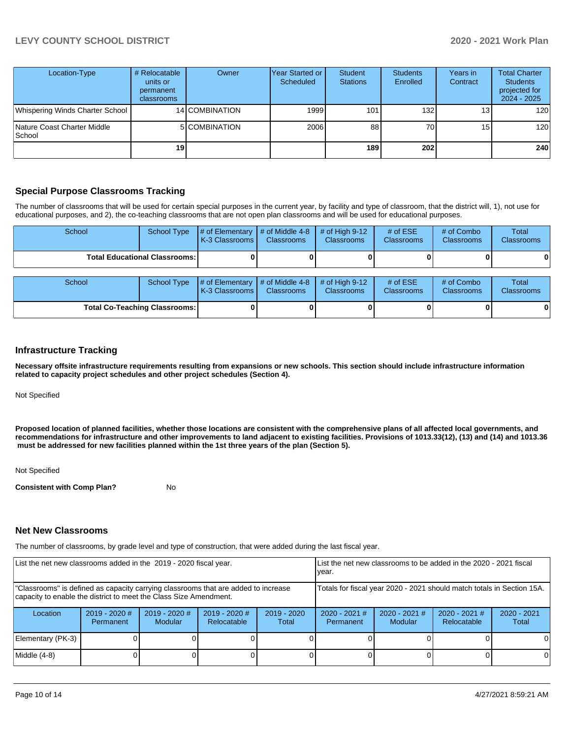# **LEVY COUNTY SCHOOL DISTRICT 2020 - 2021 Work Plan**

| Location-Type                           | # Relocatable<br>units or<br>permanent<br>classrooms | Owner          | Year Started or  <br>Scheduled | <b>Student</b><br><b>Stations</b> | <b>Students</b><br>Enrolled | Years in<br>Contract | <b>Total Charter</b><br><b>Students</b><br>projected for<br>2024 - 2025 |
|-----------------------------------------|------------------------------------------------------|----------------|--------------------------------|-----------------------------------|-----------------------------|----------------------|-------------------------------------------------------------------------|
| Whispering Winds Charter School         |                                                      | 14 COMBINATION | 1999                           | 101                               | 132                         | 13 <sub>1</sub>      | 120                                                                     |
| Nature Coast Charter Middle<br>l School |                                                      | 5 COMBINATION  | 2006                           | 88                                | 70                          | 15 <sub>1</sub>      | 120                                                                     |
|                                         | 19 <sup>1</sup>                                      |                |                                | <b>189</b>                        | 202                         |                      | 240                                                                     |

## **Special Purpose Classrooms Tracking**

The number of classrooms that will be used for certain special purposes in the current year, by facility and type of classroom, that the district will, 1), not use for educational purposes, and 2), the co-teaching classrooms that are not open plan classrooms and will be used for educational purposes.

| School                               | <b>School Type</b> | # of Elementary<br>K-3 Classrooms | $\#$ of Middle 4-8<br><b>Classrooms</b> | $#$ of High 9-12<br><b>Classrooms</b> | # of $ESE$<br><b>Classrooms</b> | # of Combo<br><b>Classrooms</b> | Total<br><b>Classrooms</b> |
|--------------------------------------|--------------------|-----------------------------------|-----------------------------------------|---------------------------------------|---------------------------------|---------------------------------|----------------------------|
| Total Educational Classrooms: I      |                    |                                   |                                         |                                       |                                 |                                 |                            |
| School                               | <b>School Type</b> | # of Elementary<br>K-3 Classrooms | $\#$ of Middle 4-8<br><b>Classrooms</b> | # of High $9-12$<br><b>Classrooms</b> | # of $ESE$<br><b>Classrooms</b> | # of Combo<br>Classrooms        | Total<br>Classrooms        |
| <b>Total Co-Teaching Classrooms:</b> |                    |                                   |                                         |                                       |                                 |                                 |                            |

## **Infrastructure Tracking**

**Necessary offsite infrastructure requirements resulting from expansions or new schools. This section should include infrastructure information related to capacity project schedules and other project schedules (Section 4).** 

Not Specified

**Proposed location of planned facilities, whether those locations are consistent with the comprehensive plans of all affected local governments, and recommendations for infrastructure and other improvements to land adjacent to existing facilities. Provisions of 1013.33(12), (13) and (14) and 1013.36** must be addressed for new facilities planned within the 1st three years of the plan (Section 5).

Not Specified

**Consistent with Comp Plan?** No

## **Net New Classrooms**

The number of classrooms, by grade level and type of construction, that were added during the last fiscal year.

| List the net new classrooms added in the 2019 - 2020 fiscal year.                                                                                       |                              |                            | List the net new classrooms to be added in the 2020 - 2021 fiscal<br>year. |                        |                                                                        |                                   |                                |                        |
|---------------------------------------------------------------------------------------------------------------------------------------------------------|------------------------------|----------------------------|----------------------------------------------------------------------------|------------------------|------------------------------------------------------------------------|-----------------------------------|--------------------------------|------------------------|
| "Classrooms" is defined as capacity carrying classrooms that are added to increase<br>capacity to enable the district to meet the Class Size Amendment. |                              |                            |                                                                            |                        | Totals for fiscal year 2020 - 2021 should match totals in Section 15A. |                                   |                                |                        |
| Location                                                                                                                                                | $2019 - 2020$ #<br>Permanent | $2019 - 2020$ #<br>Modular | $2019 - 2020$ #<br>Relocatable                                             | $2019 - 2020$<br>Total | $2020 - 2021$ #<br>Permanent                                           | $2020 - 2021$ #<br><b>Modular</b> | $2020 - 2021$ #<br>Relocatable | $2020 - 2021$<br>Total |
| Elementary (PK-3)                                                                                                                                       |                              |                            |                                                                            |                        |                                                                        |                                   |                                | $\Omega$               |
| Middle $(4-8)$                                                                                                                                          |                              |                            |                                                                            |                        |                                                                        |                                   |                                | $\Omega$               |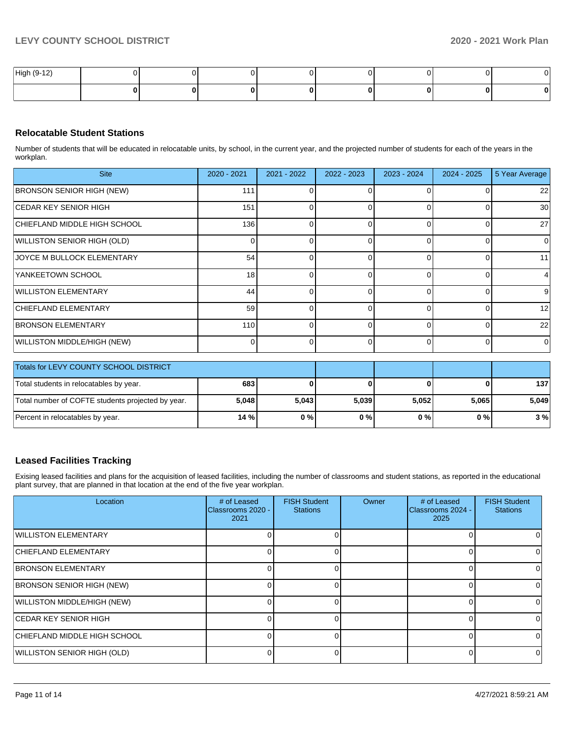| High (9-12) |  |  |  |   | v |
|-------------|--|--|--|---|---|
|             |  |  |  | o |   |

## **Relocatable Student Stations**

Number of students that will be educated in relocatable units, by school, in the current year, and the projected number of students for each of the years in the workplan.

| <b>Site</b>                      | 2020 - 2021     | $2021 - 2022$ | $2022 - 2023$ | 2023 - 2024 | $2024 - 2025$ | 5 Year Average    |
|----------------------------------|-----------------|---------------|---------------|-------------|---------------|-------------------|
| <b>BRONSON SENIOR HIGH (NEW)</b> | 111             |               |               |             |               | 22                |
| ICEDAR KEY SENIOR HIGH           | 151             |               | ∩             |             |               | 30                |
| CHIEFLAND MIDDLE HIGH SCHOOL     | 136             |               | ∩             |             |               | 27                |
| WILLISTON SENIOR HIGH (OLD)      |                 |               |               |             |               | $\Omega$          |
| JOYCE M BULLOCK ELEMENTARY       | 54              |               | $\Omega$      |             | n             | 11                |
| YANKEETOWN SCHOOL                | 18 <sup>1</sup> | O             | $\Omega$      |             |               |                   |
| <b>WILLISTON ELEMENTARY</b>      | 44              | U             | $\Omega$      |             | <sup>0</sup>  | 9                 |
| CHIEFLAND ELEMENTARY             | 59              |               |               |             |               | $12 \overline{ }$ |
| <b>BRONSON ELEMENTARY</b>        | 110             | n             | $\Omega$      |             |               | 22                |
| WILLISTON MIDDLE/HIGH (NEW)      |                 |               | ∩             |             |               | 0                 |

| <b>Totals for LEVY COUNTY SCHOOL DISTRICT</b>     |       |       |       |       |       |       |
|---------------------------------------------------|-------|-------|-------|-------|-------|-------|
| Total students in relocatables by year.           | 683   |       |       |       | 0     | 137   |
| Total number of COFTE students projected by year. | 5,048 | 5,043 | 5,039 | 5.052 | 5.065 | 5.049 |
| Percent in relocatables by year.                  | 14 %  | 0%    | 0%    | 0%    | 0%    | 3%    |

# **Leased Facilities Tracking**

Exising leased facilities and plans for the acquisition of leased facilities, including the number of classrooms and student stations, as reported in the educational plant survey, that are planned in that location at the end of the five year workplan.

| Location                         | # of Leased<br>Classrooms 2020 -<br>2021 | <b>FISH Student</b><br><b>Stations</b> | <b>Owner</b> | # of Leased<br><b>IClassrooms 2024 -</b><br>2025 | <b>FISH Student</b><br><b>Stations</b> |
|----------------------------------|------------------------------------------|----------------------------------------|--------------|--------------------------------------------------|----------------------------------------|
| <b>WILLISTON ELEMENTARY</b>      |                                          |                                        |              |                                                  |                                        |
| <b>CHIEFLAND ELEMENTARY</b>      |                                          |                                        |              |                                                  |                                        |
| <b>BRONSON ELEMENTARY</b>        |                                          |                                        |              |                                                  | U                                      |
| <b>BRONSON SENIOR HIGH (NEW)</b> |                                          |                                        |              |                                                  | n                                      |
| WILLISTON MIDDLE/HIGH (NEW)      |                                          |                                        |              |                                                  | 0                                      |
| ICEDAR KEY SENIOR HIGH           |                                          |                                        |              |                                                  | 0                                      |
| CHIEFLAND MIDDLE HIGH SCHOOL     |                                          |                                        |              |                                                  | 0                                      |
| WILLISTON SENIOR HIGH (OLD)      |                                          |                                        |              |                                                  | $\Omega$                               |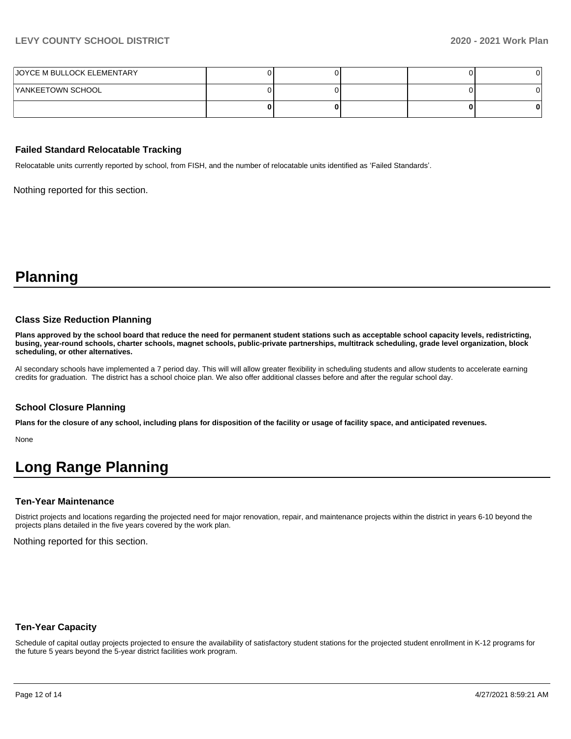# **LEVY COUNTY SCHOOL DISTRICT 2020 - 2021 Work Plan**

| JOYCE M BULLOCK ELEMENTARY |  |  |  |
|----------------------------|--|--|--|
| YANKEETOWN SCHOOL          |  |  |  |
|                            |  |  |  |

#### **Failed Standard Relocatable Tracking**

Relocatable units currently reported by school, from FISH, and the number of relocatable units identified as 'Failed Standards'.

Nothing reported for this section.

**Planning**

#### **Class Size Reduction Planning**

**Plans approved by the school board that reduce the need for permanent student stations such as acceptable school capacity levels, redistricting, busing, year-round schools, charter schools, magnet schools, public-private partnerships, multitrack scheduling, grade level organization, block scheduling, or other alternatives.**

Al secondary schools have implemented a 7 period day. This will will allow greater flexibility in scheduling students and allow students to accelerate earning credits for graduation. The district has a school choice plan. We also offer additional classes before and after the regular school day.

#### **School Closure Planning**

**Plans for the closure of any school, including plans for disposition of the facility or usage of facility space, and anticipated revenues.** 

None

# **Long Range Planning**

#### **Ten-Year Maintenance**

District projects and locations regarding the projected need for major renovation, repair, and maintenance projects within the district in years 6-10 beyond the projects plans detailed in the five years covered by the work plan.

Nothing reported for this section.

## **Ten-Year Capacity**

Schedule of capital outlay projects projected to ensure the availability of satisfactory student stations for the projected student enrollment in K-12 programs for the future 5 years beyond the 5-year district facilities work program.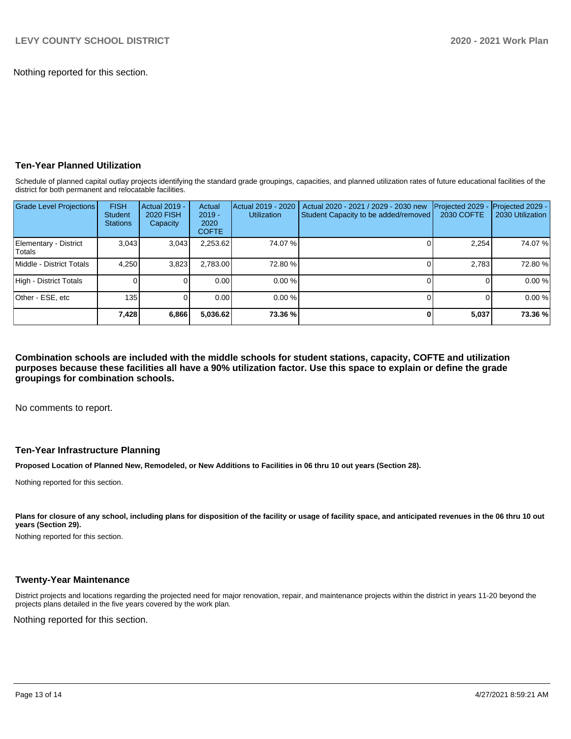Nothing reported for this section.

# **Ten-Year Planned Utilization**

Schedule of planned capital outlay projects identifying the standard grade groupings, capacities, and planned utilization rates of future educational facilities of the district for both permanent and relocatable facilities.

| <b>Grade Level Projections</b>   | <b>FISH</b><br>Student<br><b>Stations</b> | <b>Actual 2019 -</b><br><b>2020 FISH</b><br>Capacity | Actual<br>$2019 -$<br>2020<br><b>COFTE</b> | Actual 2019 - 2020<br><b>Utilization</b> | Actual 2020 - 2021 / 2029 - 2030 new<br>Student Capacity to be added/removed | Projected 2029<br>2030 COFTE | Projected 2029 -<br>2030 Utilization |
|----------------------------------|-------------------------------------------|------------------------------------------------------|--------------------------------------------|------------------------------------------|------------------------------------------------------------------------------|------------------------------|--------------------------------------|
| Elementary - District<br>lTotals | 3,043                                     | 3,043                                                | 2,253.62                                   | 74.07 %                                  |                                                                              | 2,254                        | 74.07 %                              |
| Middle - District Totals         | 4.250                                     | 3,823                                                | 2,783.00                                   | 72.80 %                                  |                                                                              | 2.783                        | 72.80 %                              |
| High - District Totals           |                                           |                                                      | 0.00                                       | $0.00 \%$                                |                                                                              |                              | 0.00 %                               |
| Other - ESE, etc                 | 135                                       |                                                      | 0.00                                       | $0.00 \%$                                |                                                                              |                              | 0.00 %                               |
|                                  | 7,428                                     | 6,866                                                | 5,036.62                                   | 73.36 %                                  |                                                                              | 5,037                        | 73.36 %                              |

**Combination schools are included with the middle schools for student stations, capacity, COFTE and utilization purposes because these facilities all have a 90% utilization factor. Use this space to explain or define the grade groupings for combination schools.** 

No comments to report.

## **Ten-Year Infrastructure Planning**

**Proposed Location of Planned New, Remodeled, or New Additions to Facilities in 06 thru 10 out years (Section 28).**

Nothing reported for this section.

Plans for closure of any school, including plans for disposition of the facility or usage of facility space, and anticipated revenues in the 06 thru 10 out **years (Section 29).**

Nothing reported for this section.

#### **Twenty-Year Maintenance**

District projects and locations regarding the projected need for major renovation, repair, and maintenance projects within the district in years 11-20 beyond the projects plans detailed in the five years covered by the work plan.

Nothing reported for this section.